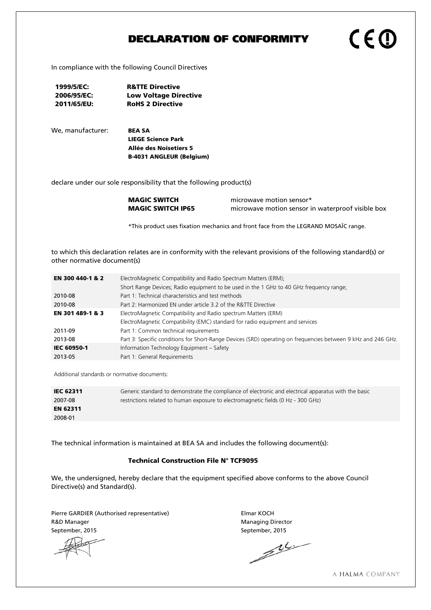# DECLARATION OF CONFORMITY

In compliance with the following Council Directives

- 1999/5/EC: R&TTE Directive 2006/95/EC: Low Voltage Directive 2011/65/EU: RoHS 2 Directive
- We, manufacturer: **BEA SA**

LIEGE Science Park Allée des Noisetiers 5 B-4031 ANGLEUR (Belgium)

declare under our sole responsibility that the following product(s)

**MAGIC SWITCH** microwave motion sensor\* **MAGIC SWITCH IP65** microwave motion sensor in waterproof visible box

CEC

\*This product uses fixation mechanics and front face from the LEGRAND MOSAÏC range.

to which this declaration relates are in conformity with the relevant provisions of the following standard(s) or other normative document(s)

| EN 300 440-1 & 2   | ElectroMagnetic Compatibility and Radio Spectrum Matters (ERM);                                               |  |  |
|--------------------|---------------------------------------------------------------------------------------------------------------|--|--|
|                    | Short Range Devices; Radio equipment to be used in the 1 GHz to 40 GHz frequency range;                       |  |  |
| 2010-08            | Part 1: Technical characteristics and test methods                                                            |  |  |
| 2010-08            | Part 2: Harmonized EN under article 3.2 of the R&TTE Directive                                                |  |  |
| EN 301 489-1 & 3   | ElectroMagnetic Compatibility and Radio spectrum Matters (ERM)                                                |  |  |
|                    | ElectroMagnetic Compatibility (EMC) standard for radio equipment and services                                 |  |  |
| 2011-09            | Part 1: Common technical requirements                                                                         |  |  |
| 2013-08            | Part 3: Specific conditions for Short-Range Devices (SRD) operating on frequencies between 9 kHz and 246 GHz. |  |  |
| <b>IEC 60950-1</b> | Information Technology Equipment - Safety                                                                     |  |  |
| 2013-05            | Part 1: General Requirements                                                                                  |  |  |

Additional standards or normative documents:

| <b>IEC 62311</b> | Generic standard to demonstrate the compliance of electronic and electrical apparatus with the basic |
|------------------|------------------------------------------------------------------------------------------------------|
| 2007-08          | restrictions related to human exposure to electromagnetic fields (0 Hz - 300 GHz)                    |
| <b>EN 62311</b>  |                                                                                                      |
| 2008-01          |                                                                                                      |

The technical information is maintained at BEA SA and includes the following document(s):

### Technical Construction File N° TCF9095

We, the undersigned, hereby declare that the equipment specified above conforms to the above Council Directive(s) and Standard(s).

Pierre GARDIER (Authorised representative) Figure 2012 11: Elmar KOCH R&D Manager Managing Director

September, 2015<br>
September, 2015<br>
AL

A HALMA COMPANY